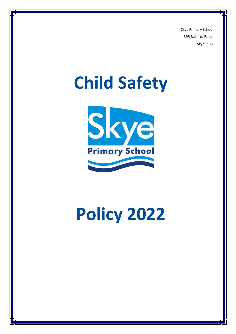Skye Primary School 395 Ballarto Road, Skye 3977

# **Child Safety**



# **Policy 2022**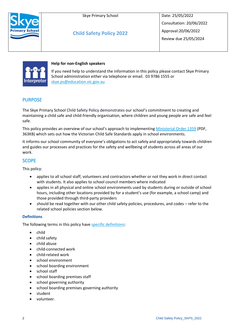



**Child Safety Policy 2022**

Date: 25/05/2022 Consultation: 20/06/2022 Approval:20/06/2022 Review due 25/05/2024



# **Help for non-English speakers**

If you need help to understand the information in this policy please contact Skye Primary School administration either via telephone or email. 03 9786 1555 or [skye.ps@education.vic.gov.au](mailto:skye.ps@education.vic.gov.au)

# PURPOSE

The Skye Primary School Child Safety Policy demonstrates our school's commitment to creating and maintaining a child safe and child-friendly organisation, where children and young people are safe and feel safe.

This policy provides an overview of our school's approach to implementing [Ministerial Order 1359](https://www.education.vic.gov.au/Documents/about/programs/health/protect/Ministerial_Order.pdf) (PDF, 363KB) which sets out how the Victorian Child Safe Standards apply in school environments.

It informs our school community of everyone's obligations to act safely and appropriately towards children and guides our processes and practices for the safety and wellbeing of students across all areas of our work.

# **SCOPE**

This policy:

- applies to all school staff, volunteers and contractors whether or not they work in direct contact with students. It also applies to school council members where indicated
- applies in all physical and online school environments used by students during or outside of school hours, including other locations provided by for a student's use (for example, a school camp) and those provided through third-party providers
- should be read together with our other child safety policies, procedures, and codes refer to the related school policies section below.

# **Definitions**

The following terms in this policy hav[e specific definitions:](https://www.vic.gov.au/child-safe-standards-definitions)

- child
- child safety
- child abuse
- child-connected work
- child-related work
- school environment
- school boarding environment
- school staff
- school boarding premises staff
- school governing authority
- school boarding premises governing authority
- student
- volunteer.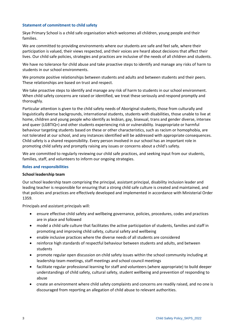# **Statement of commitment to child safety**

Skye Primary School is a child safe organisation which welcomes all children, young people and their families.

We are committed to providing environments where our students are safe and feel safe, where their participation is valued, their views respected, and their voices are heard about decisions that affect their lives. Our child safe policies, strategies and practices are inclusive of the needs of all children and students.

We have no tolerance for child abuse and take proactive steps to identify and manage any risks of harm to students in our school environments.

We promote positive relationships between students and adults and between students and their peers. These relationships are based on trust and respect.

We take proactive steps to identify and manage any risk of harm to students in our school environment. When child safety concerns are raised or identified, we treat these seriously and respond promptly and thoroughly.

Particular attention is given to the child safety needs of Aboriginal students, those from culturally and linguistically diverse backgrounds, international students, students with disabilities, those unable to live at home, children and young people who identify as lesbian, gay, bisexual, trans and gender diverse, intersex and queer (LGBTIQ+) and other students experiencing risk or vulnerability. Inappropriate or harmful behaviour targeting students based on these or other characteristics, such as racism or homophobia, are not tolerated at our school, and any instances identified will be addressed with appropriate consequences. Child safety is a shared responsibility. Every person involved in our school has an important role in promoting child safety and promptly raising any issues or concerns about a child's safety.

We are committed to regularly reviewing our child safe practices, and seeking input from our students, families, staff, and volunteers to inform our ongoing strategies.

#### **Roles and responsibilities**

#### **School leadership team**

Our school leadership team comprising the principal, assistant principal, disability inclusion leader and leading teacher is responsible for ensuring that a strong child safe culture is created and maintained, and that policies and practices are effectively developed and implemented in accordance with Ministerial Order 1359.

Principals and assistant principals will:

- ensure effective child safety and wellbeing governance, policies, procedures, codes and practices are in place and followed
- model a child safe culture that facilitates the active participation of students, families and staff in promoting and improving child safety, cultural safety and wellbeing
- enable inclusive practices where the diverse needs of all students are considered
- reinforce high standards of respectful behaviour between students and adults, and between students
- promote regular open discussion on child safety issues within the school community including at leadership team meetings, staff meetings and school council meetings
- facilitate regular professional learning for staff and volunteers (where appropriate) to build deeper understandings of child safety, cultural safety, student wellbeing and prevention of responding to abuse
- create an environment where child safety complaints and concerns are readily raised, and no one is discouraged from reporting an allegation of child abuse to relevant authorities.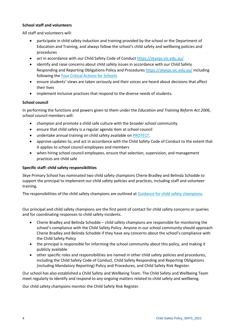# **School staff and volunteers**

All staff and volunteers will:

- participate in child safety induction and training provided by the school or the Department of Education and Training, and always follow the school's child safety and wellbeing policies and procedures
- act in accordance with our Child Safety Code of Conduct <https://skyeps.vic.edu.au/>
- identify and raise concerns about child safety issues in accordance with our Child Safety Responding and Reporting Obligations Policy and Procedures <https://skyeps.vic.edu.au/> including following the [Four Critical Actions for Schools](https://www.education.vic.gov.au/school/teachers/health/childprotection/Pages/report.aspx)
- ensure students' views are taken seriously and their voices are heard about decisions that affect their lives
- implement inclusive practices that respond to the diverse needs of students.

# **School council**

In performing the functions and powers given to them under the *Education and Training Reform Act 2006*, school council members will:

- champion and promote a child safe culture with the broader school community
- ensure that child safety is a regular agenda item at school council
- undertake annual training on child safety available on **PROTECT**.
- approve updates to, and act in accordance with the Child Safety Code of Conduct to the extent that it applies to school council employees and members
- when hiring school council employees, ensure that selection, supervision, and management practices are child safe

# **Specific staff: child safety responsibilities**

Skye Primary School has nominated two child safety champions Cherie Bradley and Belinda Schodde to support the principal to implement our child safety policies and practices, including staff and volunteer training.

The responsibilities of the child safety champions are outlined at [Guidance for child safety champions.](https://www.vic.gov.au/guidance-child-safety-champions)

Our principal and child safety champions are the first point of contact for child safety concerns or queries and for coordinating responses to child safety incidents.

- Cherie Bradley and Belinda Schodde child safety champions are responsible for monitoring the school's compliance with the Child Safety Policy. Anyone in our school community should approach Cherie Bradley and Belinda Schodde if they have any concerns about the school's compliance with the Child Safety Policy
- the principal is responsible for informing the school community about this policy, and making it publicly available
- other specific roles and responsibilities are named in other child safety policies and procedures, including the Child Safety Code of Conduct, Child Safety Responding and Reporting Obligations (including Mandatory Reporting) Policy and Procedures, and Child Safety Risk Register.

Our school has also established a Child Safety and Wellbeing Team. The Child Safety and Wellbeing Team meet regularly to identify and respond to any ongoing matters related to child safety and wellbeing.

Our child safety champions monitor the Child Safety Risk Register.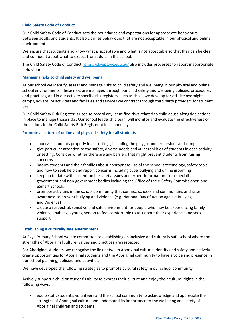# **Child Safety Code of Conduct**

Our Child Safety Code of Conduct sets the boundaries and expectations for appropriate behaviours between adults and students. It also clarifies behaviours that are not acceptable in our physical and online environments.

We ensure that students also know what is acceptable and what is not acceptable so that they can be clear and confident about what to expect from adults in the school.

The Child Safety Code of Conduct<https://skyeps.vic.edu.au/> also includes processes to report inappropriate behaviour.

#### **Managing risks to child safety and wellbeing**

At our school we identify, assess and manage risks to child safety and wellbeing in our physical and online school environments. These risks are managed through our child safety and wellbeing policies, procedures and practices, and in our activity specific risk registers, such as those we develop for off-site overnight camps, adventure activities and facilities and services we contract through third party providers for student use.

Our Child Safety Risk Register is used to record any identified risks related to child abuse alongside actions in place to manage those risks. Our school leadership team will monitor and evaluate the effectiveness of the actions in the Child Safety Risk Register at least annually.

#### **Promote a culture of online and physical safety for all students**

- supervise students properly in all settings, including the playground, excursions and camps
- give particular attention to the safety, diverse needs and vulnerabilities of students in each activity or setting. Consider whether there are any barriers that might prevent students from raising concerns
- inform students and their families about appropriate use of the school's technology, safety tools and how to seek help and report concerns including cyberbullying and online grooming
- keep up to date with current online safety issues and expert information from specialist government and non-government bodies including the Office of the e-Safety Commissioner, and eSmart Schools
- promote activities in the school community that connect schools and communities and raise awareness to prevent bullying and violence (e.g. [National Day of Action against Bullying](https://bullyingnoway.gov.au/preventing-bullying/national-day-of-action-against-bullying-and-violence)  and [Violence\)](https://bullyingnoway.gov.au/preventing-bullying/national-day-of-action-against-bullying-and-violence)
- create a respectful, sensitive and safe environment for people who may be experiencing family violence enabling a young person to feel comfortable to talk about their experience and seek support.

#### **Establishing a culturally safe environment**

At Skye Primary School we are committed to establishing an inclusive and culturally safe school where the strengths of Aboriginal culture, values and practices are respected.

For Aboriginal students, we recognise the link between Aboriginal culture, identity and safety and actively create opportunities for Aboriginal students and the Aboriginal community to have a voice and presence in our school planning, policies, and activities.

We have developed the following strategies to promote cultural safety in our school community:

Actively support a child or student's ability to express their culture and enjoy their cultural rights in the following ways:

• equip staff, students, volunteers and the school community to acknowledge and appreciate the strengths of Aboriginal culture and understand its importance to the wellbeing and safety of Aboriginal children and students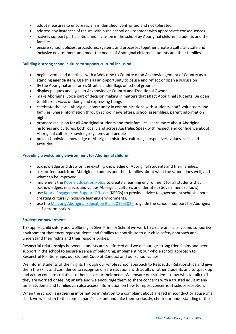- adopt measures to ensure racism is identified, confronted and not tolerated
- address any instances of racism within the school environment with appropriate consequences
- actively support participation and inclusion in the school by Aboriginal children, students and their families
- ensure school policies, procedures, systems and processes together create a culturally safe and inclusive environment and meet the needs of Aboriginal children, students and their families.

#### **Building a strong school culture to support cultural inclusion**

- begin events and meetings with a Welcome to Country or an Acknowledgement of Country as a standing agenda item. Use this as an opportunity to pause and reflect or open a discussion
- fly the Aboriginal and Torres Strait Islander flags on school grounds
- display plaques and signs to Acknowledge Country and Traditional Owners
- make Aboriginal voice part of decision making in matters that affect Aboriginal students. Be open to different ways of doing and expressing things
- celebrate the local Aboriginal community in communications with students, staff, volunteers and families. Share information through school newsletters, school assemblies, parent information nights
- promote inclusion for all Aboriginal students and their families. Learn more about Aboriginal histories and cultures, both locally and across Australia. Speak with respect and confidence about Aboriginal culture, knowledge systems and people
- build schoolwide knowledge of Aboriginal histories, cultures, perspectives, values, skills and attitudes.

#### **Providing a welcoming environment for Aboriginal children**

- acknowledge and draw on the existing knowledge of Aboriginal students and their families.
- ask for feedback from Aboriginal students and their families about what the school does well, and what can be improved
- implement the [Koorie Education](https://www2.education.vic.gov.au/pal/koorie-education/policy) Policy to create a learning environment for all students that acknowledges, respects and values Aboriginal cultures and identities (Government schools)
- use [Koorie Engagement Support Officers](https://www.vic.gov.au/koorie-education-coordinator-contact-details) (KESOs) to provide advice to government schools about creating culturally inclusive learning environments.
- use the [Marrung Aboriginal Education Plan 2016](https://www.vic.gov.au/marrung)–2026 to guide the school's support for Aboriginal self-determination

#### **Student empowerment**

To support child safety and wellbeing at Skye Primary School we work to create an inclusive and supportive environment that encourages students and families to contribute to our child safety approach and understand their rights and their responsibilities.

Respectful relationships between students are reinforced and we encourage strong friendships and peer support in the school to ensure a sense of belonging, implementing our whole school approach to Respectful Relationships, our student Code of Conduct and our school values.

We inform students of their rights through our whole school approach to Respectful Relationships and give them the skills and confidence to recognise unsafe situations with adults or other students and to speak up and act on concerns relating to themselves or their peers. We ensure our students know who to talk to if they are worried or feeling unsafe and we encourage them to share concerns with a trusted adult at any time. Students and families can also access information on how to report concerns at school reception.

When the school is gathering information in relation to a complaint about alleged misconduct or abuse of a child, we will listen to the complainant's account and take them seriously, check our understanding of the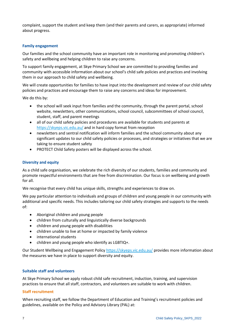complaint, support the student and keep them (and their parents and carers, as appropriate) informed about progress.

# **Family engagement**

Our families and the school community have an important role in monitoring and promoting children's safety and wellbeing and helping children to raise any concerns.

To support family engagement, at Skye Primary School we are committed to providing families and community with accessible information about our school's child safe policies and practices and involving them in our approach to child safety and wellbeing.

We will create opportunities for families to have input into the development and review of our child safety policies and practices and encourage them to raise any concerns and ideas for improvement.

We do this by:

- the school will seek input from families and the community, through the parent portal, school website, newsletters, other communications, school council, subcommittees of school council, student, staff, and parent meetings
- all of our child safety policies and procedures are available for students and parents at <https://skyeps.vic.edu.au/> and in hard copy format from reception
- newsletters and sentral notification will inform families and the school community about any significant updates to our child safety policies or processes, and strategies or initiatives that we are taking to ensure student safety
- PROTECT Child Safety posters will be displayed across the school.

#### **Diversity and equity**

As a child safe organisation, we celebrate the rich diversity of our students, families and community and promote respectful environments that are free from discrimination. Our focus is on wellbeing and growth for all.

We recognise that every child has unique skills, strengths and experiences to draw on.

We pay particular attention to individuals and groups of children and young people in our community with additional and specific needs. This includes tailoring our child safety strategies and supports to the needs of:

- Aboriginal children and young people
- children from culturally and linguistically diverse backgrounds
- children and young people with disabilities
- children unable to live at home or impacted by family violence
- international students
- children and young people who identify as LGBTIQ+.

Our Student Wellbeing and Engagement Policy<https://skyeps.vic.edu.au/> provides more information about the measures we have in place to support diversity and equity.

#### **Suitable staff and volunteers**

At Skye Primary School we apply robust child safe recruitment, induction, training, and supervision practices to ensure that all staff, contractors, and volunteers are suitable to work with children.

#### **Staff recruitment**

When recruiting staff, we follow the Department of Education and Training's recruitment policies and guidelines, available on the Policy and Advisory Library (PAL) at: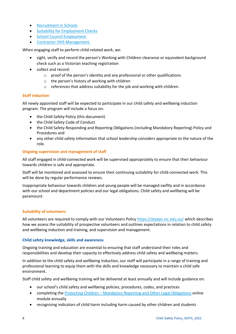- [Recruitment in Schools](https://www2.education.vic.gov.au/pal/recruitment-schools/overview)
- [Suitability for Employment Checks](https://www2.education.vic.gov.au/pal/suitability-employment-checks/overview)
- [School Council Employment](https://www2.education.vic.gov.au/pal/school-council-employment/overview)
- [Contractor OHS Management.](https://www2.education.vic.gov.au/pal/contractor-ohs-management/policy)

When engaging staff to perform child-related work, we:

- sight, verify and record the person's Working with Children clearance or equivalent background check such as a Victorian teaching registration
- collect and record:
	- o proof of the person's identity and any professional or other qualifications
	- o the person's history of working with children
	- o references that address suitability for the job and working with children.

# **Staff induction**

All newly appointed staff will be expected to participate in our child safety and wellbeing induction program. The program will include a focus on:

- the Child Safety Policy (this document)
- the Child Safety Code of Conduct
- the Child Safety Responding and Reporting Obligations (including Mandatory Reporting) Policy and Procedures and
- any other child safety information that school leadership considers appropriate to the nature of the role.

# **Ongoing supervision and management of staff**

All staff engaged in child-connected work will be supervised appropriately to ensure that their behaviour towards children is safe and appropriate.

Staff will be monitored and assessed to ensure their continuing suitability for child-connected work. This will be done by regular performance reviews.

Inappropriate behaviour towards children and young people will be managed swiftly and in accordance with our school and department policies and our legal obligations. Child safety and wellbeing will be paramount.

# **Suitability of volunteers**

All volunteers are required to comply with our Volunteers Policy <https://skyeps.vic.edu.au/> which describes how we assess the suitability of prospective volunteers and outlines expectations in relation to child safety and wellbeing induction and training, and supervision and management.

#### **Child safety knowledge, skills and awareness**

Ongoing training and education are essential to ensuring that staff understand their roles and responsibilities and develop their capacity to effectively address child safety and wellbeing matters.

In addition to the child safety and wellbeing induction, our staff will participate in a range of training and professional learning to equip them with the skills and knowledge necessary to maintain a child safe environment.

Staff child safety and wellbeing training will be delivered at least annually and will include guidance on:

- our school's child safety and wellbeing policies, procedures, codes, and practices
- completing the Protecting Children [Mandatory Reporting and Other Legal Obligations](http://elearn.com.au/det/protectingchildren/) online module annually
- recognising indicators of child harm including harm caused by other children and students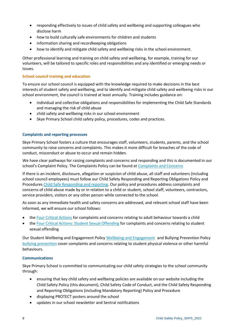- responding effectively to issues of child safety and wellbeing and supporting colleagues who disclose harm
- how to build culturally safe environments for children and students
- information sharing and recordkeeping obligations
- how to identify and mitigate child safety and wellbeing risks in the school environment.

Other professional learning and training on child safety and wellbeing, for example, training for our volunteers, will be tailored to specific roles and responsibilities and any identified or emerging needs or issues.

# **School council training and education**

To ensure our school council is equipped with the knowledge required to make decisions in the best interests of student safety and wellbeing, and to identify and mitigate child safety and wellbeing risks in our school environment, the council is trained at least annually. Training includes guidance on:

- individual and collective obligations and responsibilities for implementing the Child Safe Standards and managing the risk of child abuse
- child safety and wellbeing risks in our school environment
- Skye Primary School child safety policy, procedures, codes and practices.

# **Complaints and reporting processes**

Skye Primary School fosters a culture that encourages staff, volunteers, students, parents, and the school community to raise concerns and complaints. This makes it more difficult for breaches of the code of conduct, misconduct or abuse to occur and remain hidden.

We have clear pathways for raising complaints and concerns and responding and this is documented in our school's Complaint Policy. The Complaints Policy can be found at [Complaints and Concerns](https://skyeps.vic.edu.au/wp-content/uploads/2022/06/Complaints-and-Concerns-Policy_SKPS_2022-1.pdf)

If there is an incident, disclosure, allegation or suspicion of child abuse, all staff and volunteers (including school council employees) must follow our Child Safety Responding and Reporting Obligations Policy and Procedures [Child Safe Responding and reporting.](https://skyeps.vic.edu.au/wp-content/uploads/2022/06/Child-Safety-Responding-and-Reporting-Obligations-Policy-and-Procedures_SKPS_2022.pdf) Our policy and procedures address complaints and concerns of child abuse made by or in relation to a child or student, school staff, volunteers, contractors, service providers, visitors or any other person while connected to the school.

As soon as any immediate health and safety concerns are addressed, and relevant school staff have been informed, we will ensure our school follows:

- the [Four Critical Actions](https://www.education.vic.gov.au/Documents/about/programs/health/protect/FourCriticalActions_ChildAbuse.pdf) for complaints and concerns relating to adult behaviour towards a child
- the [Four Critical Actions: Student Sexual Offending](https://www.education.vic.gov.au/school/teachers/health/childprotection/Pages/stusexual.aspx) for complaints and concerns relating to student sexual offending

Our Student Wellbeing and Engagement Policy [Wellbeing and Engagement](https://skyeps.vic.edu.au/wp-content/uploads/2022/06/Student-Wellbing-and-Engagement-Policy_SKPS_2022.pdf) and Bullying Prevention Policy [bullying prevention](https://skyeps.vic.edu.au/wp-content/uploads/2022/06/Bullying-Prevention-Policy_update_SKPS_2022.pdf) cover complaints and concerns relating to student physical violence or other harmful behaviours.

#### **Communications**

Skye Primary School is committed to communicating our child safety strategies to the school community through:

- ensuring that key child safety and wellbeing policies are available on our website including the Child Safety Policy (this document), Child Safety Code of Conduct, and the Child Safety Responding and Reporting Obligations (including Mandatory Reporting) Policy and Procedure
- displaying PROTECT posters around the school
- updates in our school newsletter and Sentral notifications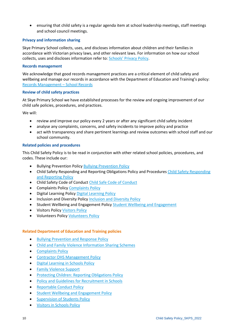• ensuring that child safety is a regular agenda item at school leadership meetings, staff meetings and school council meetings.

# **Privacy and information sharing**

Skye Primary School collects, uses, and discloses information about children and their families in accordance with Victorian privacy laws, and other relevant laws. For information on how our school collects, uses and discloses information refer to: [Schools' Privacy Policy](https://www.education.vic.gov.au/Pages/schoolsprivacypolicy.aspx).

#### **Records management**

We acknowledge that good records management practices are a critical element of child safety and wellbeing and manage our records in accordance with the Department of Education and Training's policy: [Records Management](https://www2.education.vic.gov.au/pal/records-management/policy) – School Records

#### **Review of child safety practices**

At Skye Primary School we have established processes for the review and ongoing improvement of our child safe policies, procedures, and practices.

We will:

- review and improve our policy every 2 years or after any significant child safety incident
- analyse any complaints, concerns, and safety incidents to improve policy and practice
- act with transparency and share pertinent learnings and review outcomes with school staff and our school community.

# **Related policies and procedures**

This Child Safety Policy is to be read in conjunction with other related school policies, procedures, and codes. These include our:

- **[Bullying Prevention Policy](https://skyeps.vic.edu.au/wp-content/uploads/2022/06/Bullying-Prevention-Policy_update_SKPS_2022.pdf) Bullying Prevention Policy**
- Child Safety Responding and Reporting Obligations Policy and Procedures [Child Safety Responding](https://skyeps.vic.edu.au/wp-content/uploads/2022/06/Child-Safety-Responding-and-Reporting-Obligations-Policy-and-Procedures_update_SKPS_2022.pdf)  [and Reporting Policy](https://skyeps.vic.edu.au/wp-content/uploads/2022/06/Child-Safety-Responding-and-Reporting-Obligations-Policy-and-Procedures_update_SKPS_2022.pdf)
- Child Safety Code of Conduct [Child Safe Code of Conduct](https://skyeps.vic.edu.au/wp-content/uploads/2022/06/Child-Safe-Code-of-Conduct_SKPS_2022.pdf)
- [Complaints Policy](https://skyeps.vic.edu.au/wp-content/uploads/2022/06/Complaints-and-Concerns-Policy_SKPS_2022-1.pdf) Complaints Policy
- Digital Learning Policy [Digital Learning Policy](https://skyeps.vic.edu.au/wp-content/uploads/2022/06/Digital-Learning-Policy_update_SKPS_2022.pdf)
- Inclusion and Diversity Polic[y Inclusion and Diversity Policy](https://skyeps.vic.edu.au/wp-content/uploads/2022/02/Inclusion-diversity-policy_SKPS_2021.pdf)
- Student Wellbeing and Engagement Policy [Student Wellbeing and Engagement](https://skyeps.vic.edu.au/wp-content/uploads/2022/06/Student-Wellbing-and-Engagement-Policy_SKPS_2022.pdf)
- **[Visitors Policy](https://skyeps.vic.edu.au/wp-content/uploads/2022/06/Visitors-Policy_update_2022.pdf) Visitors Policy**
- Volunteers Policy [Volunteers Policy](https://skyeps.vic.edu.au/wp-content/uploads/2022/06/Volunteers-Policy_update_SKPS_2022.pdf)

#### **Related Department of Education and Training policies**

- [Bullying Prevention and Response Policy](https://www2.education.vic.gov.au/pal/bullying-prevention-response/policy)
- [Child and Family Violence Information Sharing Schemes](https://www2.education.vic.gov.au/pal/information-sharing-schemes/policy)
- [Complaints Policy](https://www2.education.vic.gov.au/pal/complaints/policy)
- [Contractor OHS Management Policy](https://www2.education.vic.gov.au/pal/contractor-ohs-management/policy)
- [Digital Learning in Schools Policy](https://www2.education.vic.gov.au/pal/digital-learning/policy)
- [Family Violence Support](https://www2.education.vic.gov.au/pal/family-violence-support/policy)
- [Protecting Children: Reporting Obligations Policy](https://www2.education.vic.gov.au/pal/protecting-children/policy)
- [Policy and Guidelines for Recruitment in Schools](https://www2.education.vic.gov.au/pal/recruitment-schools/policy-and-guidelines)
- [Reportable Conduct Policy](https://www2.education.vic.gov.au/pal/reportable-conduct-scheme/policy)
- Student [Wellbeing and Engagement Policy](https://www2.education.vic.gov.au/pal/student-engagement/policy)
- [Supervision of Students Policy](https://www2.education.vic.gov.au/pal/supervision-students/policy)
- [Visitors in Schools Policy](https://www2.education.vic.gov.au/pal/visitors/policy)